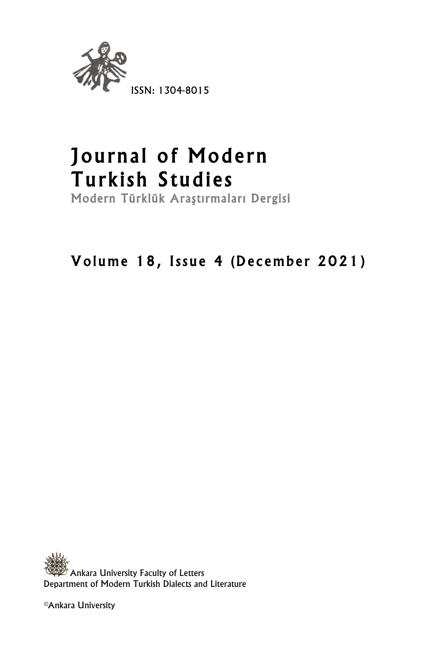

# Journal of Modern Turkish Studies<br>Modern Türklük Araştırmaları Dergisi

Volume 1 8 , Issue 4 **(**December 2 0 2 1 )

Ankara University Faculty of Letters Department of Modern Turkish Dialects and Literature

©Ankara University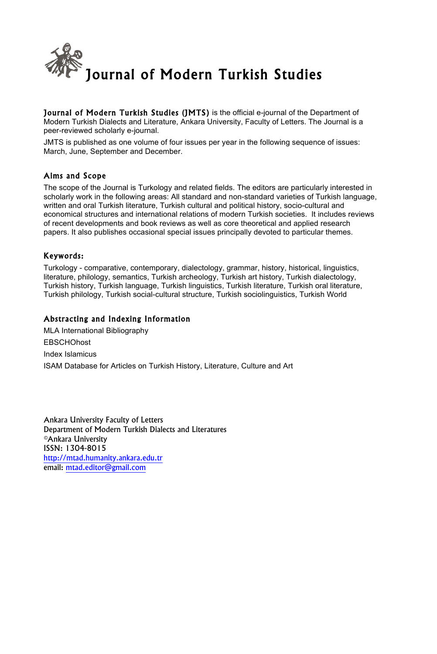

Journal of Modern Turkish Studies **(**JMTS) is the official e-journal of the Department of Modern Turkish Dialects and Literature, Ankara University, Faculty of Letters. The Journal is a peer-reviewed scholarly e-journal.

JMTS is published as one volume of four issues per year in the following sequence of issues: March, June, September and December.

#### Aims and Scope

The scope of the Journal is Turkology and related fields. The editors are particularly interested in scholarly work in the following areas: All standard and non-standard varieties of Turkish language, written and oral Turkish literature, Turkish cultural and political history, socio-cultural and economical structures and international relations of modern Turkish societies. It includes reviews of recent developments and book reviews as well as core theoretical and applied research papers. It also publishes occasional special issues principally devoted to particular themes.

#### Keywords:

Turkology - comparative, contemporary, dialectology, grammar, history, historical, linguistics, literature, philology, semantics, Turkish archeology, Turkish art history, Turkish dialectology, Turkish history, Turkish language, Turkish linguistics, Turkish literature, Turkish oral literature, Turkish philology, Turkish social-cultural structure, Turkish sociolinguistics, Turkish World

#### Abstracting and Indexing Information

MLA International Bibliography **EBSCHOhost** Index Islamicus ISAM Database for Articles on Turkish History, Literature, Culture and Art

Ankara University Faculty of Letters Department of Modern Turkish Dialects and Literatures ©Ankara University ISSN: 1304-8015 http://mtad.humanity.ankara.edu.tr email: mtad.editor@gmail.com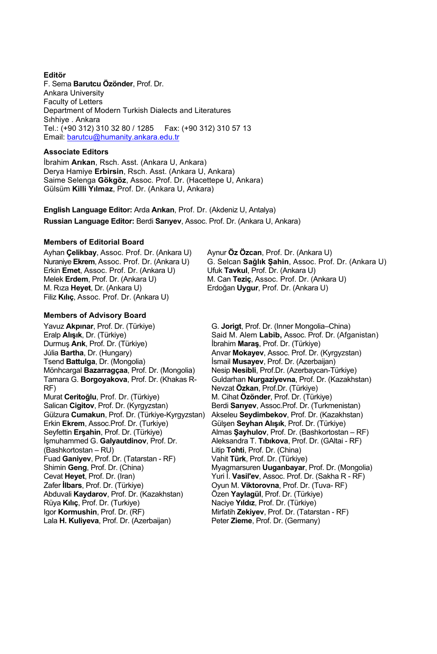#### **Editör**

F. Sema **Barutcu Özönder**, Prof. Dr. Ankara University Faculty of Letters Department of Modern Turkish Dialects and Literatures Sıhhiye . Ankara Tel.: (+90 312) 310 32 80 / 1285 Fax: (+90 312) 310 57 13 Email: barutcu@humanity.ankara.edu.tr

#### **Associate Editors**

İbrahim **Arıkan**, Rsch. Asst. (Ankara U, Ankara) Derya Hamiye **Erbirsin**, Rsch. Asst. (Ankara U, Ankara) Saime Selenga **Gökgöz**, Assoc. Prof. Dr. (Hacettepe U, Ankara) Gülsüm **Killi Yılmaz**, Prof. Dr. (Ankara U, Ankara)

**English Language Editor:** Arda **Arıkan**, Prof. Dr. (Akdeniz U, Antalya) **Russian Language Editor:** Berdi **Sarıyev**, Assoc. Prof. Dr. (Ankara U, Ankara)

#### **Members of Editorial Board**

Ayhan **Çelikbay**, Assoc. Prof. Dr. (Ankara U) Nuraniye **Ekrem**, Assoc. Prof. Dr. (Ankara U) Erkin **Emet**, Assoc. Prof. Dr. (Ankara U) Melek **Erdem**, Prof. Dr. (Ankara U) M. Rıza **Heyet**, Dr. (Ankara U) Filiz **Kılıç**, Assoc. Prof. Dr. (Ankara U)

#### **Members of Advisory Board**

Yavuz **Akpınar**, Prof. Dr. (Türkiye) Eralp **Alışık**, Dr. (Türkiye) Durmuş **Arık**, Prof. Dr. (Türkiye) Júlia **Bartha**, Dr. (Hungary) Tsend **Battulga**, Dr. (Mongolia) Mönhcargal **Bazarragçaa**, Prof. Dr. (Mongolia) Tamara G. **Borgoyakova**, Prof. Dr. (Khakas R-RF) Murat **Ceritoğlu**, Prof. Dr. (Türkiye) Salican **Cigitov**, Prof. Dr. (Kyrgyzstan) Gülzura **Cumakun**, Prof. Dr. (Türkiye-Kyrgyzstan) Erkin **Ekrem**, Assoc.Prof. Dr. (Turkiye) Seyfettin **Erşahin**, Prof. Dr. (Türkiye) İşmuhammed G. **Galyautdinov**, Prof. Dr. (Bashkortostan – RU) Fuad **Ganiyev**, Prof. Dr. (Tatarstan - RF) Shimin **Geng**, Prof. Dr. (China) Cevat **Heyet**, Prof. Dr. (Iran) Zafer **İlbars**, Prof. Dr. (Türkiye) Abduvali **Kaydarov**, Prof. Dr. (Kazakhstan) Rüya **Kılıç**, Prof. Dr. (Turkiye) Igor **Kormushin**, Prof. Dr. (RF) Lala **H. Kuliyeva**, Prof. Dr. (Azerbaijan)

Aynur **Öz Özcan**, Prof. Dr. (Ankara U) G. Selcan **Sağlık Şahin**, Assoc. Prof. Dr. (Ankara U) Ufuk **Tavkul**, Prof. Dr. (Ankara U) M. Can **Teziç**, Assoc. Prof. Dr. (Ankara U) Erdoğan **Uygur**, Prof. Dr. (Ankara U)

G. **Jorigt**, Prof. Dr. (Inner Mongolia–China) Said M. Alem **Labib,** Assoc. Prof. Dr. (Afganistan) İbrahim **Maraş**, Prof. Dr. (Türkiye) Anvar **Mokayev**, Assoc. Prof. Dr. (Kyrgyzstan) İsmail **Musayev**, Prof. Dr. (Azerbaijan) Nesip **Nesibli**, Prof.Dr. (Azerbaycan-Türkiye) Guldarhan **Nurgaziyevna**, Prof. Dr. (Kazakhstan) Nevzat **Özkan**, Prof.Dr. (Türkiye) M. Cihat **Özönder**, Prof. Dr. (Türkiye) Berdi **Sarıyev**, Assoc.Prof. Dr. (Turkmenistan) Akseleu **Seydimbekov**, Prof. Dr. (Kazakhstan) Gülşen **Seyhan Alışık**, Prof. Dr. (Türkiye) Almas **Şayhulov**, Prof. Dr. (Bashkortostan – RF) Aleksandra T. **Tıbıkova**, Prof. Dr. (GAltai - RF) Litip **Tohti**, Prof. Dr. (China) Vahit **Türk**, Prof. Dr. (Türkiye) Myagmarsuren **Uuganbayar**, Prof. Dr. (Mongolia) Yuri İ. **Vasil'ev**, Assoc. Prof. Dr. (Sakha R - RF) Oyun M. **Viktorovna**, Prof. Dr. (Tuva- RF) Özen **Yaylagül**, Prof. Dr. (Türkiye) Naciye **Yıldız**, Prof. Dr. (Türkiye) Mirfatih **Zekiyev**, Prof. Dr. (Tatarstan - RF) Peter **Zieme**, Prof. Dr. (Germany)